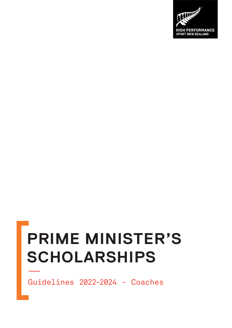

Guidelines 2022-2024 - Coaches

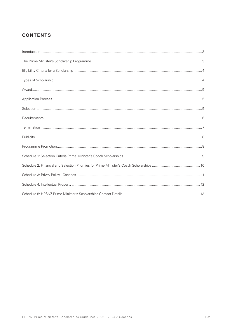## **CONTENTS**

| $\label{prop:1} \mbox{Introduction} \,\, \ldots \,\, \ldots \,\, \ldots \,\, \ldots \,\, \ldots \,\, \ldots \,\, \ldots \,\, \ldots \,\, \ldots \,\, \ldots \,\, \ldots \,\, \ldots \,\, \ldots \,\, \ldots \,\, \ldots \,\, \ldots \,\, \ldots \,\, \ldots \,\, \ldots \,\, \ldots \,\, \ldots \,\, \ldots \,\, \ldots \,\, \ldots \,\, \ldots \,\, \ldots \,\, \ldots \,\, \ldots \,\, \ldots \,\, \ldots \,\, \ldots \,\, \ldots \,\, \ldots \,\, \ldots \,\,$ |  |
|-------------------------------------------------------------------------------------------------------------------------------------------------------------------------------------------------------------------------------------------------------------------------------------------------------------------------------------------------------------------------------------------------------------------------------------------------------------------|--|
|                                                                                                                                                                                                                                                                                                                                                                                                                                                                   |  |
|                                                                                                                                                                                                                                                                                                                                                                                                                                                                   |  |
|                                                                                                                                                                                                                                                                                                                                                                                                                                                                   |  |
|                                                                                                                                                                                                                                                                                                                                                                                                                                                                   |  |
|                                                                                                                                                                                                                                                                                                                                                                                                                                                                   |  |
|                                                                                                                                                                                                                                                                                                                                                                                                                                                                   |  |
|                                                                                                                                                                                                                                                                                                                                                                                                                                                                   |  |
|                                                                                                                                                                                                                                                                                                                                                                                                                                                                   |  |
|                                                                                                                                                                                                                                                                                                                                                                                                                                                                   |  |
|                                                                                                                                                                                                                                                                                                                                                                                                                                                                   |  |
|                                                                                                                                                                                                                                                                                                                                                                                                                                                                   |  |
|                                                                                                                                                                                                                                                                                                                                                                                                                                                                   |  |
|                                                                                                                                                                                                                                                                                                                                                                                                                                                                   |  |
|                                                                                                                                                                                                                                                                                                                                                                                                                                                                   |  |
|                                                                                                                                                                                                                                                                                                                                                                                                                                                                   |  |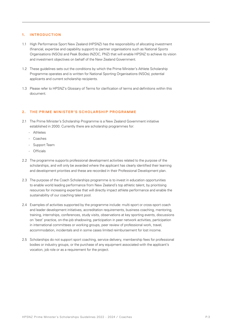## **1. INTRODUCTION**

- 1.1 High Performance Sport New Zealand (HPSNZ) has the responsibility of allocating investment (financial, expertise and capability support) to partner organisations such as National Sports Organisations (NSOs) and Peak Bodies (NZOC, PNZ) that will enable HPSNZ to achieve its vision and investment objectives on behalf of the New Zealand Government.
- 1.2 These guidelines sets out the conditions by which the Prime Minister's Athlete Scholarship Programme operates and is written for National Sporting Organisations (NSOs), potential applicants and current scholarship recipients.
- 1.3 Please refer to HPSNZ's Glossary of Terms for clarification of terms and definitions within this document.

## 2. THE PRIME MINISTER'S SCHOLARSHIP PROGRAMME

- 2.1 The Prime Minister's Scholarship Programme is a New Zealand Government initiative established in 2000. Currently there are scholarship programmes for:
	- Athletes
	- Coaches
	- Support Team
	- Officials
- 2.2 The programme supports professional development activities related to the purpose of the scholarships, and will only be awarded where the applicant has clearly identified their learning and development priorities and these are recorded in their Professional Development plan.
- 2.3 The purpose of the Coach Scholarships programme is to invest in education opportunities to enable world leading performance from New Zealand's top athletic talent, by prioritising resources for increasing expertise that will directly impact athlete performance and enable the sustainability of our coaching talent pool.
- 2.4 Examples of activities supported by the programme include: multi-sport or cross-sport coach and leader development initiatives, accreditation requirements, business coaching, mentoring, training, internships, conferences, study visits, observations at key sporting events, discussions on 'best' practice, on-the-job shadowing, participation in peer network activities, participation in international committees or working groups, peer review of professional work, travel, accommodation, incidentals and in some cases limited reimbursement for lost income.
- 2.5 Scholarships do not support sport coaching, service delivery, membership fees for professional bodies or industry groups, or the purchase of any equipment associated with the applicant's vocation, job role or as a requirement for the project.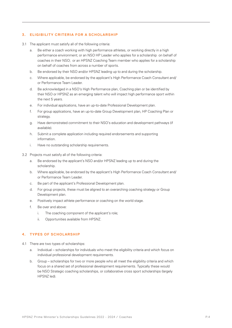## **3. ELIGIBILITY CRITERIA FOR A SCHOLARSHIP**

- 3.1 The applicant must satisfy all of the following criteria:
	- a. Be either a coach working with high performance athletes, or working directly in a high performance environment; or an NSO HP Leader who applies for a scholarship on behalf of coaches in their NSO; or an HPSNZ Coaching Team member who applies for a scholarship on behalf of coaches from across a number of sports.
	- b. Be endorsed by their NSO and/or HPSNZ leading up to and during the scholarship.
	- c. Where applicable, be endorsed by the applicant's High Performance Coach Consultant and/ or Performance Team Leader.
	- d. Be acknowledged in a NSO's High Performance plan, Coaching plan or be identified by their NSO or HPSNZ as an emerging talent who will impact high performance sport within the next 5 years.
	- e. For individual applications, have an up-to-date Professional Development plan.
	- f. For group applications, have an up-to-date Group Development plan, HP Coaching Plan or strategy.
	- g. Have demonstrated commitment to their NSO's education and development pathways (if available).
	- h. Submit a complete application including required endorsements and supporting information.
	- i. Have no outstanding scholarship requirements.
- 3.2 Projects must satisfy all of the following criteria:
	- a. Be endorsed by the applicant's NSO and/or HPSNZ leading up to and during the scholarship.
	- b. Where applicable, be endorsed by the applicant's High Performance Coach Consultant and/ or Performance Team Leader.
	- c. Be part of the applicant's Professional Development plan.
	- d. For group projects, these must be aligned to an overarching coaching strategy or Group Development plan.
	- e. Positively impact athlete performance or coaching on the world stage.
	- f. Be over and above:
		- i. The coaching component of the applicant's role;
		- ii. Opportunities available from HPSNZ.

## **4. TYPES OF SCHOLARSHIP**

- 4.1 There are two types of scholarships:
	- a. Individual scholarships for individuals who meet the eligibility criteria and which focus on individual professional development requirements.
	- b. Group scholarships for two or more people who all meet the eligibility criteria and which focus on a shared set of professional development requirements. Typically these would be NSO Strategic coaching scholarships, or collaborative cross sport scholarships (largely HPSNZ led).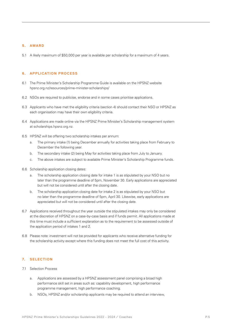#### **5. AWARD**

5.1 A likely maximum of \$50,000 per year is available per scholarship for a maximum of 4 years.

#### **6. APPLICATION PROCESS**

- 6.1 The Prime Minister's Scholarship Programme Guide is available on the HPSNZ website hpsnz.org.nz/resources/prime-minister-scholarships/
- 6.2 NSOs are required to publicise, endorse and in some cases prioritise applications.
- 6.3 Applicants who have met the eligibility criteria (section 4) should contact their NSO or HPSNZ as each organisation may have their own eligibility criteria.
- 6.4 Applications are made online via the HPSNZ Prime Minister's Scholarship management system at scholarships.hpsnz.org.nz.
- 6.5 HPSNZ will be offering two scholarship intakes per annum:
	- a. The primary intake (1) being December annually for activities taking place from February to December the following year.
	- b. The secondary intake (2) being May for activities taking place from July to January.
	- c. The above intakes are subject to available Prime Minister's Scholarship Programme funds.
- 6.6 Scholarship application closing dates:
	- a. The scholarship application closing date for intake 1 is as stipulated by your NSO but no later than the programme deadline of 5pm, November 30. Early applications are appreciated but will not be considered until after the closing date.
	- b. The scholarship application closing date for intake 2 is as stipulated by your NSO but no later than the programme deadline of 5pm, April 30. Likewise, early applications are appreciated but will not be considered until after the closing date.
- 6.7 Applications received throughout the year outside the stipulated intakes may only be considered at the discretion of HPSNZ on a case-by-case basis and if funds permit. All applications made at this time must include a sufficient explanation as to the requirement to be assessed outside of the application period of intakes 1 and 2.
- 6.8 Please note: investment will not be provided for applicants who receive alternative funding for the scholarship activity except where this funding does not meet the full cost of this activity.

## **7. SELECTION**

- 7.1 Selection Process
	- a. Applications are assessed by a HPSNZ assessment panel comprising a broad high performance skill set in areas such as: capability development, high performance programme management, high performance coaching.
	- b. NSOs, HPSNZ and/or scholarship applicants may be required to attend an interview,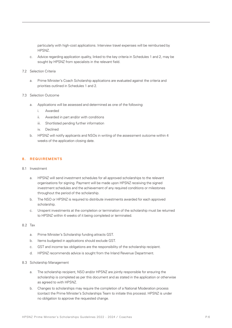particularly with high-cost applications. Interview travel expenses will be reimbursed by HPSNZ.

c. Advice regarding application quality, linked to the key criteria in Schedules 1 and 2, may be sought by HPSNZ from specialists in the relevant field.

#### 7.2 Selection Criteria

a. Prime Minister's Coach Scholarship applications are evaluated against the criteria and priorities outlined in Schedules 1 and 2.

## 7.3 Selection Outcome

- a. Applications will be assessed and determined as one of the following:
	- i. Awarded
	- ii. Awarded in part and/or with conditions
	- iii. Shortlisted pending further information
	- iv. Declined
- b. HPSNZ will notify applicants and NSOs in writing of the assessment outcome within 4 weeks of the application closing date.

## **8. REQUIREMENTS**

#### 8.1 Investment

- a. HPSNZ will send investment schedules for all approved scholarships to the relevant organisations for signing. Payment will be made upon HPSNZ receiving the signed investment schedules and the achievement of any required conditions or milestones throughout the period of the scholarship.
- b. The NSO or HPSNZ is required to distribute investments awarded for each approved scholarship.
- c. Unspent investments at the completion or termination of the scholarship must be returned to HPSNZ within 4 weeks of it being completed or terminated.

## 8.2 Tax

- a. Prime Minister's Scholarship funding attracts GST.
- b. Items budgeted in applications should exclude GST.
- c. GST and income tax obligations are the responsibility of the scholarship recipient.
- d. HPSNZ recommends advice is sought from the Inland Revenue Department.

## 8.3 Scholarship Management

- a. The scholarship recipient, NSO and/or HPSNZ are jointly responsible for ensuring the scholarship is completed as per this document and as stated in the application or otherwise as agreed to with HPSNZ.
- b. Changes to scholarships may require the completion of a National Moderation process (contact the Prime Minister's Scholarships Team to initiate this process). HPSNZ is under no obligation to approve the requested change.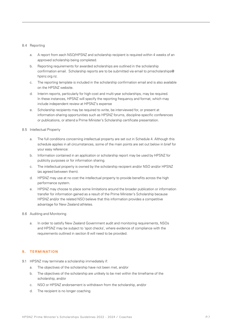## 8.4 Reporting

- a. A report from each NSO/HPSNZ and scholarship recipient is required within 4 weeks of an approved scholarship being completed.
- b. Reporting requirements for awarded scholarships are outlined in the scholarship confirmation email. Scholarship reports are to be submitted via email to pmscholarships@ hpsnz.org.nz.
- c. The reporting template is included in the scholarship confirmation email and is also available on the HPSNZ website.
- d. Interim reports, particularly for high-cost and multi-year scholarships, may be required. In these instances, HPSNZ will specify the reporting frequency and format, which may include independent review at HPSNZ's expense
- e. Scholarship recipients may be required to write, be interviewed for, or present at information-sharing opportunities such as HPSNZ forums, discipline-specific conferences or publications, or attend a Prime Minister's Scholarship certificate presentation.

## 8.5 Intellectual Property

- a. The full conditions concerning intellectual property are set out in Schedule 4. Although this schedule applies in all circumstances, some of the main points are set out below in brief for your easy reference:
- b. Information contained in an application or scholarship report may be used by HPSNZ for publicity purposes or for information sharing.
- c. The intellectual property is owned by the scholarship recipient and/or NSO and/or HPSNZ (as agreed between them).
- d. HPSNZ may use at no cost the intellectual property to provide benefits across the high performance system.
- e. HPSNZ may choose to place some limitations around the broader publication or information transfer for information gained as a result of the Prime Minister's Scholarship because HPSNZ and/or the related NSO believe that this information provides a competitive advantage for New Zealand athletes.

#### 8.6 Auditing and Monitoring

a. In order to satisfy New Zealand Government audit and monitoring requirements, NSOs and HPSNZ may be subject to 'spot checks', where evidence of compliance with the requirements outlined in section 8 will need to be provided.

## **9. TERMINATION**

- 9.1 HPSNZ may terminate a scholarship immediately if:
	- a. The objectives of the scholarship have not been met, and/or
	- b. The objectives of the scholarship are unlikely to be met within the timeframe of the scholarship, and/or
	- c. NSO or HPSNZ endorsement is withdrawn from the scholarship, and/or
	- d. The recipient is no longer coaching.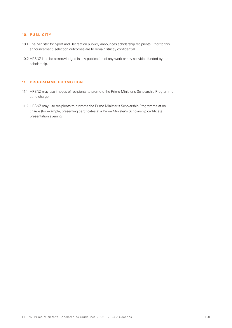## **10. PUBLICITY**

- 10.1 The Minister for Sport and Recreation publicly announces scholarship recipients. Prior to this announcement, selection outcomes are to remain strictly confidential.
- 10.2 HPSNZ is to be acknowledged in any publication of any work or any activities funded by the scholarship.

## **11. PROGRAMME PROMOTION**

- 11.1 HPSNZ may use images of recipients to promote the Prime Minister's Scholarship Programme at no charge.
- 11.2 HPSNZ may use recipients to promote the Prime Minister's Scholarship Programme at no charge (for example, presenting certificates at a Prime Minister's Scholarship certificate presentation evening).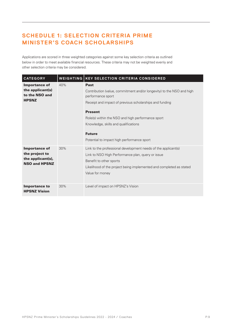# **SCHEDULE 1: SELECTION CRITERIA PRIME MINISTER'S COACH SCHOLARSHIPS**

Applications are scored in three weighted categories against some key selection criteria as outlined below in order to meet available financial resources. These criteria may not be weighted evenly and other selection criteria may be considered.

| <b>CATEGORY</b>                                                                     | <b>WEIGHTING</b> | <b>KEY SELECTION CRITERIA CONSIDERED</b>                                                                                                                                                                                                                                                                                                           |  |
|-------------------------------------------------------------------------------------|------------------|----------------------------------------------------------------------------------------------------------------------------------------------------------------------------------------------------------------------------------------------------------------------------------------------------------------------------------------------------|--|
| <b>Importance of</b><br>the applicant(s)<br>to the NSO and<br><b>HPSNZ</b>          | 40%              | <b>Past</b><br>Contribution (value, commitment and/or longevity) to the NSO and high<br>performance sport<br>Receipt and impact of previous scholarships and funding<br><b>Present</b><br>Role(s) within the NSO and high performance sport<br>Knowledge, skills and qualifications<br><b>Future</b><br>Potential to impact high performance sport |  |
| <b>Importance of</b><br>the project to<br>the applicant(s),<br><b>NSO and HPSNZ</b> | 30%              | Link to the professional development needs of the applicant(s)<br>Link to NSO High Performance plan, query or issue<br>Benefit to other sports<br>Likelihood of the project being implemented and completed as stated<br>Value for money                                                                                                           |  |
| <b>Importance to</b><br><b>HPSNZ Vision</b>                                         | 30%              | Level of impact on HPSNZ's Vision                                                                                                                                                                                                                                                                                                                  |  |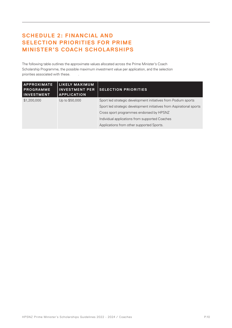# **SCHEDULE 2: FINANCIAL AND SELECTION PRIORITIES FOR PRIME MINISTER'S COACH SCHOLARSHIPS**

The following table outlines the approximate values allocated across the Prime Minister's Coach Scholarship Programme, the possible maximum investment value per application, and the selection priorities associated with these.

| <b>APPROXIMATE</b><br><b>PROGRAMME</b><br><b>INVESTMENT</b> | LIKELY MAXIMUM<br><b>INVESTMENT PER</b><br><b>APPLICATION</b> | <b>SELECTION PRIORITIES</b>                                          |
|-------------------------------------------------------------|---------------------------------------------------------------|----------------------------------------------------------------------|
| \$1,200,000                                                 | Up to \$50,000                                                | Sport led strategic development initiatives from Podium sports       |
|                                                             |                                                               | Sport led strategic development initiatives from Aspirational sports |
|                                                             |                                                               | Cross sport programmes endorsed by HPSNZ                             |
|                                                             |                                                               | Individual applications from supported Coaches                       |
|                                                             |                                                               | Applications from other supported Sports.                            |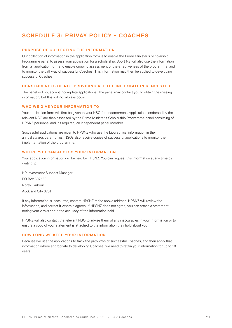## **SCHEDULE 3: PRIVAY POLICY - COACHES**

## **PURPOSE OF COLLECTING THE INFORMATION**

Our collection of information in the application form is to enable the Prime Minister's Scholarship Programme panel to assess your application for a scholarship. Sport NZ will also use the information from all application forms to enable ongoing assessment of the effectiveness of the programme, and to monitor the pathway of successful Coaches. This information may then be applied to developing successful Coaches.

#### **CONSEQUENCES OF NOT PROVIDING ALL THE INFORMATION REQUESTED**

The panel will not accept incomplete applications. The panel may contact you to obtain the missing information, but this will not always occur.

#### **WHO WE GIVE YOUR INFORMATION TO**

Your application form will first be given to your NSO for endorsement. Applications endorsed by the relevant NSO are then assessed by the Prime Minister's Scholarship Programme panel consisting of HPSNZ personnel and, as required, an independent panel member.

Successful applications are given to HPSNZ who use the biographical information in their annual awards ceremonies. NSOs also receive copies of successful applications to monitor the implementation of the programme.

## **WHERE YOU CAN ACCESS YOUR INFORMATION**

Your application information will be held by HPSNZ. You can request this information at any time by writing to:

HP Investment Support Manager PO Box 302563 North Harbour Auckland City 0751

If any information is inaccurate, contact HPSNZ at the above address. HPSNZ will review the information, and correct it where it agrees. If HPSNZ does not agree, you can attach a statement noting your views about the accuracy of the information held.

HPSNZ will also contact the relevant NSO to advise them of any inaccuracies in your information or to ensure a copy of your statement is attached to the information they hold about you.

#### **HOW LONG WE KEEP YOUR INFORMATION**

Because we use the applications to track the pathways of successful Coaches, and then apply that information where appropriate to developing Coaches, we need to retain your information for up to 10 years.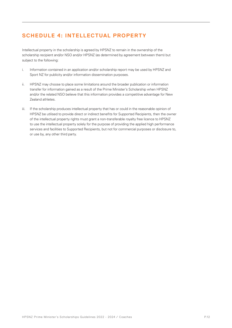## **SCHEDULE 4: INTELLECTUAL PROPERTY**

Intellectual property in the scholarship is agreed by HPSNZ to remain in the ownership of the scholarship recipient and/or NSO and/or HPSNZ (as determined by agreement between them) but subject to the following:

- i. Information contained in an application and/or scholarship report may be used by HPSNZ and Sport NZ for publicity and/or information dissemination purposes.
- ii. HPSNZ may choose to place some limitations around the broader publication or information transfer for information gained as a result of the Prime Minister's Scholarship when HPSNZ and/or the related NSO believe that this information provides a competitive advantage for New Zealand athletes.
- iii. If the scholarship produces intellectual property that has or could in the reasonable opinion of HPSNZ be utilised to provide direct or indirect benefits for Supported Recipients, then the owner of the intellectual property rights must grant a non-transferable royalty free licence to HPSNZ to use the intellectual property solely for the purpose of providing the applied high performance services and facilities to Supported Recipients, but not for commercial purposes or disclosure to, or use by, any other third party.